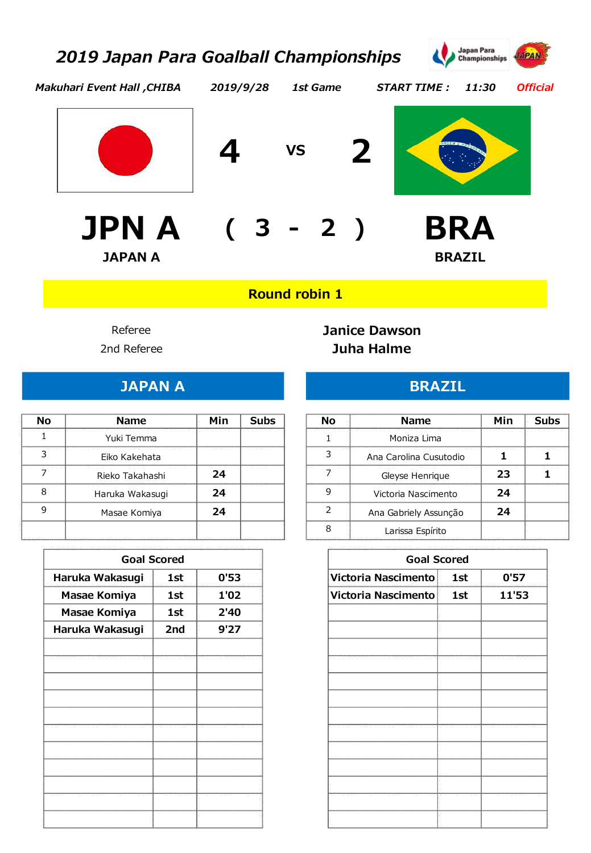*2019/9/28*



*Official*

*Makuhari Event Hall ,CHIBA*



**- JPN A BRA ( 3 2 ) JAPAN A BRAZIL**







## **Round robin 1**

9 Masae Komiya **24** 

#### Referee **Janice Dawson** 2nd Referee **Juha Halme**

*1st Game START TIME : 11:30*

#### **JAPAN A BRAZIL**

|                 |     | -------- |    |                        |
|-----------------|-----|----------|----|------------------------|
| <b>Name</b>     | Min | Subs     | Nο | <b>Name</b>            |
| Yuki Temma      |     |          |    | Moniza Lima            |
| Eiko Kakehata   |     |          |    | Ana Carolina Cusutodio |
| Rieko Takahashi | 24  |          |    | Gleyse Henrique        |
| Haruka Wakasugi |     |          |    | Victoria Nascimento    |

| <b>Goal Scored</b>             |     |      |  |  |  |  |  |
|--------------------------------|-----|------|--|--|--|--|--|
| 0'53<br>Haruka Wakasugi<br>1st |     |      |  |  |  |  |  |
| Masae Komiya                   | 1st | 1'02 |  |  |  |  |  |
| Masae Komiya                   | 1st | 2'40 |  |  |  |  |  |
| Haruka Wakasugi                | 2nd | 9'27 |  |  |  |  |  |
|                                |     |      |  |  |  |  |  |
|                                |     |      |  |  |  |  |  |
|                                |     |      |  |  |  |  |  |
|                                |     |      |  |  |  |  |  |
|                                |     |      |  |  |  |  |  |
|                                |     |      |  |  |  |  |  |
|                                |     |      |  |  |  |  |  |
|                                |     |      |  |  |  |  |  |
|                                |     |      |  |  |  |  |  |
|                                |     |      |  |  |  |  |  |
|                                |     |      |  |  |  |  |  |
|                                |     |      |  |  |  |  |  |
|                                |     |      |  |  |  |  |  |

| N٨ | <b>Name</b>            | Min | Subs |
|----|------------------------|-----|------|
|    | Moniza Lima            |     |      |
|    | Ana Carolina Cusutodio |     |      |
|    | Gleyse Henrique        | 23  |      |
|    | Victoria Nascimento    | 24  |      |
|    | Ana Gabriely Assunção  | 24  |      |
|    | Larissa Espírito       |     |      |

|      | <b>Goal Scored</b> |      | <b>Goal Scored</b>  |     |       |
|------|--------------------|------|---------------------|-----|-------|
| sugi | 1st                | 0'53 | Victoria Nascimento | 1st | 0'57  |
| iya  | 1st                | 1'02 | Victoria Nascimento | 1st | 11'53 |
| iya  | 1st                | 2'40 |                     |     |       |
| sugi | 2nd                | 9'27 |                     |     |       |
|      |                    |      |                     |     |       |
|      |                    |      |                     |     |       |
|      |                    |      |                     |     |       |
|      |                    |      |                     |     |       |
|      |                    |      |                     |     |       |
|      |                    |      |                     |     |       |
|      |                    |      |                     |     |       |
|      |                    |      |                     |     |       |
|      |                    |      |                     |     |       |
|      |                    |      |                     |     |       |
|      |                    |      |                     |     |       |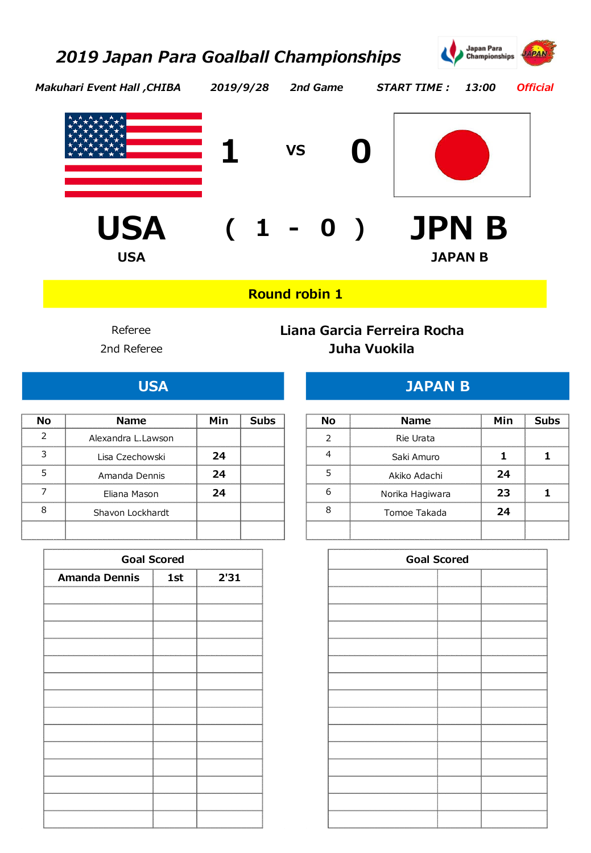

*Makuhari Event Hall ,CHIBA 2019/9/28 2nd Game START TIME : 13:00*

*Official*





**- USA ( <sup>1</sup> 0 ) JPN B USA JAPAN B**

**Round robin 1**

## 2nd Referee **Juha Vuokila** Referee **Liana Garcia Ferreira Rocha**

| N٥ | <b>Name</b>        | Min | Subs | Nο | <b>Name</b>     | Min |
|----|--------------------|-----|------|----|-----------------|-----|
|    | Alexandra L.Lawson |     |      |    | Rie Urata       |     |
|    | Lisa Czechowski    | 24  |      |    | Saki Amuro      |     |
|    | Amanda Dennis      | 24  |      |    | Akiko Adachi    | 24  |
|    | Eliana Mason       | 74  |      |    | Norika Hagiwara | 23. |
|    | Shavon Lockhardt   |     |      |    | Tomoe Takada    |     |
|    |                    |     |      |    |                 |     |

| <b>Goal Scored</b>                    |  |  |  |  |  |  |  |
|---------------------------------------|--|--|--|--|--|--|--|
| <b>Amanda Dennis</b><br>2'31<br>  1st |  |  |  |  |  |  |  |
|                                       |  |  |  |  |  |  |  |
|                                       |  |  |  |  |  |  |  |
|                                       |  |  |  |  |  |  |  |
|                                       |  |  |  |  |  |  |  |
|                                       |  |  |  |  |  |  |  |
|                                       |  |  |  |  |  |  |  |
|                                       |  |  |  |  |  |  |  |
|                                       |  |  |  |  |  |  |  |
|                                       |  |  |  |  |  |  |  |
|                                       |  |  |  |  |  |  |  |
|                                       |  |  |  |  |  |  |  |
|                                       |  |  |  |  |  |  |  |
|                                       |  |  |  |  |  |  |  |
|                                       |  |  |  |  |  |  |  |

## **USA JAPAN B**

|   | <b>Name</b>         | Min | <b>Subs</b> | Nο | <b>Name</b>     | Min | Subs |
|---|---------------------|-----|-------------|----|-----------------|-----|------|
|   | Alexandra L. Lawson |     |             |    | Rie Urata       |     |      |
|   | Lisa Czechowski     | 24  |             |    | Saki Amuro      |     |      |
|   | Amanda Dennis       | 24  |             |    | Akiko Adachi    | 24  |      |
|   | Eliana Mason        | 24  |             |    | Norika Hagiwara | 23  |      |
| 8 | Shavon Lockhardt    |     |             |    | Tomoe Takada    | 24  |      |
|   |                     |     |             |    |                 |     |      |

| <b>Goal Scored</b> |     |      | <b>Goal Scored</b> |  |
|--------------------|-----|------|--------------------|--|
| ınis               | 1st | 2'31 |                    |  |
|                    |     |      |                    |  |
|                    |     |      |                    |  |
|                    |     |      |                    |  |
|                    |     |      |                    |  |
|                    |     |      |                    |  |
|                    |     |      |                    |  |
|                    |     |      |                    |  |
|                    |     |      |                    |  |
|                    |     |      |                    |  |
|                    |     |      |                    |  |
|                    |     |      |                    |  |
|                    |     |      |                    |  |
|                    |     |      |                    |  |
|                    |     |      |                    |  |
|                    |     |      |                    |  |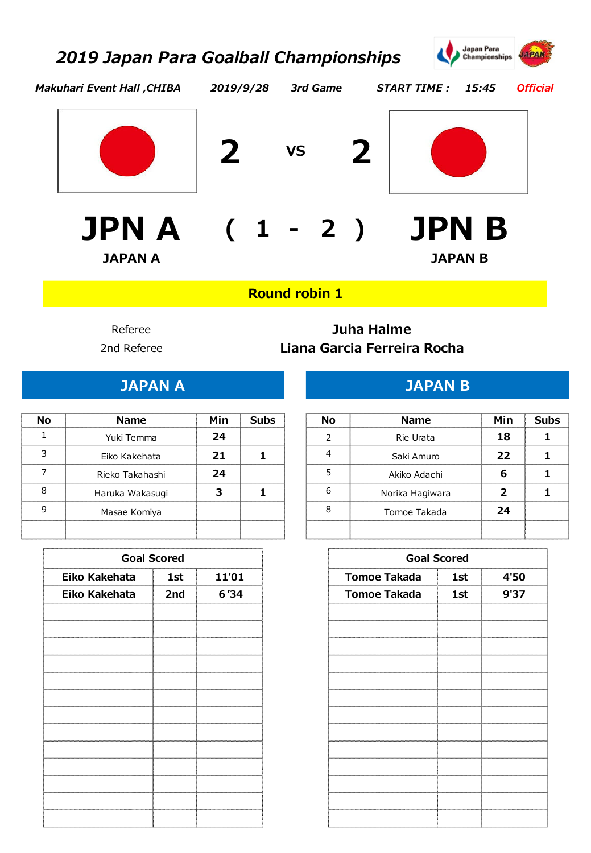

*Official*

*Makuhari Event Hall ,CHIBA 2019/9/28 3rd Game START TIME : 15:45*



**2 VS 2**





**- JPN A ( <sup>1</sup> 2 ) JPN B JAPAN A JAPAN B**

**Round robin 1**

## 2nd Referee **Liana Garcia Ferreira Rocha** Referee **Juha Halme**

## **JAPAN B**

| <b>Name</b>     | Min |  | <b>Name</b>     |  |
|-----------------|-----|--|-----------------|--|
| Yuki Temma      |     |  | Rie Urata       |  |
| Eiko Kakehata   |     |  | Saki Amuro      |  |
| Rieko Takahashi |     |  | Akiko Adachi    |  |
| Haruka Wakasugi |     |  | Norika Hagiwara |  |
| Masae Komiya    |     |  | Tomoe Takada    |  |
|                 |     |  |                 |  |

| <b>Goal Scored</b> |                 |       |  |  |  |  |  |
|--------------------|-----------------|-------|--|--|--|--|--|
| Eiko Kakehata      | <b>1st</b><br>ŧ | 11'01 |  |  |  |  |  |
| Eiko Kakehata      | 2nd             | 6'34  |  |  |  |  |  |
|                    |                 |       |  |  |  |  |  |
|                    |                 |       |  |  |  |  |  |
|                    |                 |       |  |  |  |  |  |
|                    |                 |       |  |  |  |  |  |
|                    |                 |       |  |  |  |  |  |
|                    |                 |       |  |  |  |  |  |
|                    |                 |       |  |  |  |  |  |
|                    |                 |       |  |  |  |  |  |
|                    |                 |       |  |  |  |  |  |
|                    |                 |       |  |  |  |  |  |
|                    |                 |       |  |  |  |  |  |
|                    |                 |       |  |  |  |  |  |
|                    |                 |       |  |  |  |  |  |

|   | <b>Name</b>     | Min | Subs | No | <b>Name</b>     | Min | <b>Subc</b> |
|---|-----------------|-----|------|----|-----------------|-----|-------------|
|   | Yuki Temma      | 24  |      |    | Rie Urata       | 18  |             |
|   | Eiko Kakehata   |     |      |    | Saki Amuro      | 22  |             |
|   | Rieko Takahashi | 24  |      |    | Akiko Adachi    |     |             |
| 8 | Haruka Wakasugi |     |      |    | Norika Hagiwara |     |             |
|   | Masae Komiya    |     |      |    | Tomoe Takada    | 74  |             |
|   |                 |     |      |    |                 |     |             |

|               | <b>Goal Scored</b> |       |                     | <b>Goal Scored</b> |      |
|---------------|--------------------|-------|---------------------|--------------------|------|
| Eiko Kakehata | 1st                | 11'01 | <b>Tomoe Takada</b> | 1st                | 4'50 |
| Eiko Kakehata | 2nd                | 6'34  | <b>Tomoe Takada</b> | 1st                | 9'37 |
|               |                    |       |                     |                    |      |
|               |                    |       |                     |                    |      |
|               |                    |       |                     |                    |      |
|               |                    |       |                     |                    |      |
|               |                    |       |                     |                    |      |
|               |                    |       |                     |                    |      |
|               |                    |       |                     |                    |      |
|               |                    |       |                     |                    |      |
|               |                    |       |                     |                    |      |
|               |                    |       |                     |                    |      |
|               |                    |       |                     |                    |      |
|               |                    |       |                     |                    |      |
|               |                    |       |                     |                    |      |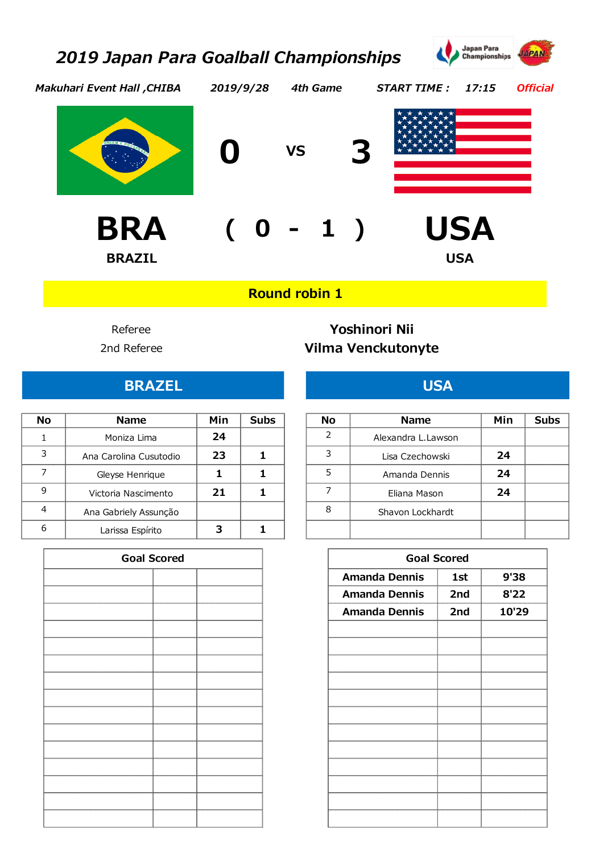

*Official*

*Makuhari Event Hall ,CHIBA 2019/9/28 4th Game START TIME : 17:15*



**BRAZIL USA**



**0 VS 3**



**- BRA ( 0 <sup>1</sup> ) USA**

## **Round robin 1**

## 2nd Referee **Vilma Venckutonyte** Referee **Yoshinori Nii**

## **BRAZEL USA**

|   | <b>Name</b>            | Min | Subs | Nο | <b>Name</b>        | Min | Subs |
|---|------------------------|-----|------|----|--------------------|-----|------|
|   | Moniza Lima            | 24  |      |    | Alexandra L.Lawson |     |      |
|   | Ana Carolina Cusutodio | 23  |      |    | Lisa Czechowski    | 24  |      |
|   | Gleyse Henrique        |     |      |    | Amanda Dennis      | 24  |      |
| 9 | Victoria Nascimento    |     |      |    | Eliana Mason       | 24  |      |
|   | Ana Gabriely Assunção  |     |      |    | Shavon Lockhardt   |     |      |
| 6 | Larissa Espírito       |     |      |    |                    |     |      |

| <b>Goal Scored</b>            |  |  |  |  |  |  |  |
|-------------------------------|--|--|--|--|--|--|--|
|                               |  |  |  |  |  |  |  |
|                               |  |  |  |  |  |  |  |
| ***************************** |  |  |  |  |  |  |  |
|                               |  |  |  |  |  |  |  |
|                               |  |  |  |  |  |  |  |
|                               |  |  |  |  |  |  |  |
|                               |  |  |  |  |  |  |  |
|                               |  |  |  |  |  |  |  |
|                               |  |  |  |  |  |  |  |
|                               |  |  |  |  |  |  |  |
|                               |  |  |  |  |  |  |  |
|                               |  |  |  |  |  |  |  |
|                               |  |  |  |  |  |  |  |
|                               |  |  |  |  |  |  |  |
|                               |  |  |  |  |  |  |  |

| הוח | <b>Name</b>        | Min | Subs |
|-----|--------------------|-----|------|
|     | Alexandra L.Lawson |     |      |
|     | Lisa Czechowski    | 24  |      |
|     | Amanda Dennis      | 24  |      |
|     | Eliana Mason       | 24  |      |
|     | Shavon Lockhardt   |     |      |
|     |                    |     |      |

| <b>Goal Scored</b> |  |                      | <b>Goal Scored</b> |       |
|--------------------|--|----------------------|--------------------|-------|
|                    |  |                      |                    |       |
|                    |  | <b>Amanda Dennis</b> | 1st                | 9'38  |
|                    |  | <b>Amanda Dennis</b> | 2nd                | 8'22  |
|                    |  | <b>Amanda Dennis</b> | 2nd                | 10'29 |
|                    |  |                      |                    |       |
|                    |  |                      |                    |       |
|                    |  |                      |                    |       |
|                    |  |                      |                    |       |
|                    |  |                      |                    |       |
|                    |  |                      |                    |       |
|                    |  |                      |                    |       |
|                    |  |                      |                    |       |
|                    |  |                      |                    |       |
|                    |  |                      |                    |       |
|                    |  |                      |                    |       |
|                    |  |                      |                    |       |
|                    |  |                      |                    |       |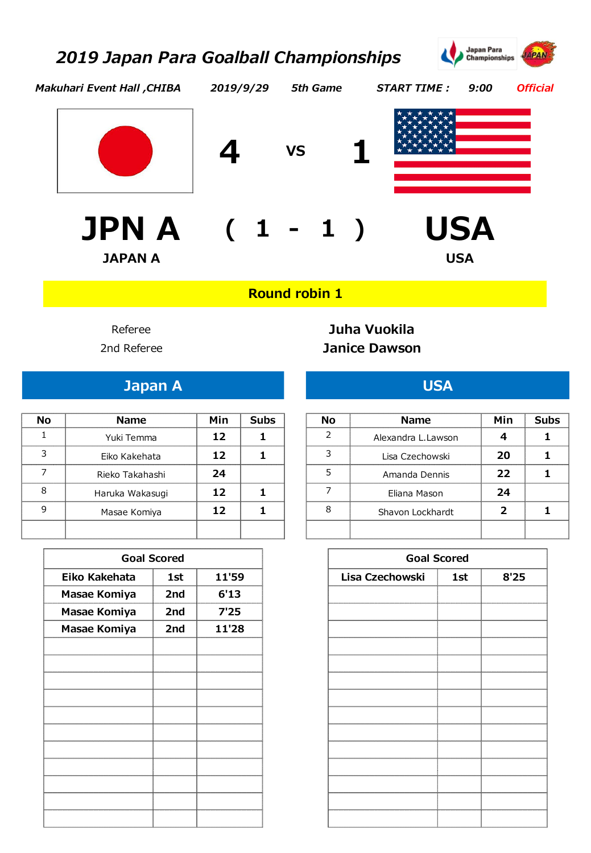

*Official*

*Makuhari Event Hall ,CHIBA 2019/9/29 5th Game START TIME : 9:00*



**- JPN A ( <sup>1</sup> <sup>1</sup> ) USA JAPAN A USA**







**Round robin 1**

## 2nd Referee **Janice Dawson** Referee **Juha Vuokila**

|   | <b>Name</b>     | Min | Subs | No | <b>Name</b>        | Min | Subs |
|---|-----------------|-----|------|----|--------------------|-----|------|
|   | Yuki Temma      |     |      |    | Alexandra L.Lawson |     |      |
|   | Eiko Kakehata   |     |      |    | Lisa Czechowski    | 20  |      |
|   | Rieko Takahashi | 24  |      |    | Amanda Dennis      | フフ  |      |
| 8 | Haruka Wakasugi |     |      |    | Eliana Mason       | 24  |      |
| 9 | Masae Komiya    |     |      |    | Shavon Lockhardt   |     |      |
|   |                 |     |      |    |                    |     |      |

|               | <b>Goal Scored</b> |       |
|---------------|--------------------|-------|
| Eiko Kakehata | 1st                | 11'59 |
| Masae Komiya  | 2nd                | 6'13  |
| Masae Komiya  | 2nd                | 7'25  |
| Masae Komiya  | 2nd                | 11'28 |
|               |                    |       |
|               |                    |       |
|               |                    |       |
|               |                    |       |
|               |                    |       |
|               |                    |       |
|               |                    |       |
|               |                    |       |
|               |                    |       |
|               |                    |       |
|               |                    |       |
|               |                    |       |

## **Japan A USA**

| <b>Name</b>     | Min | Subs | <b>Name</b>        |
|-----------------|-----|------|--------------------|
| Yuki Temma      |     |      | Alexandra L. Lawso |
| Eiko Kakehata   |     |      | Lisa Czechowski    |
| Rieko Takahashi |     |      | Amanda Dennis      |
| Haruka Wakasugi |     |      | Eliana Mason       |
| Masae Komiya    |     |      | Shavon Lockhard    |
|                 |     |      |                    |

|               | <b>Goal Scored</b> |       |
|---------------|--------------------|-------|
| Eiko Kakehata | 1st                | 11'59 |
| Masae Komiya  | 2nd                | 6'13  |
| Masae Komiya  | 2nd                | 7'25  |
| Masae Komiya  | 2nd                | 11'28 |
|               |                    |       |
|               |                    |       |
|               |                    |       |
|               |                    |       |
|               |                    |       |
|               |                    |       |
|               |                    |       |
|               |                    |       |
|               |                    |       |
|               |                    |       |
|               |                    |       |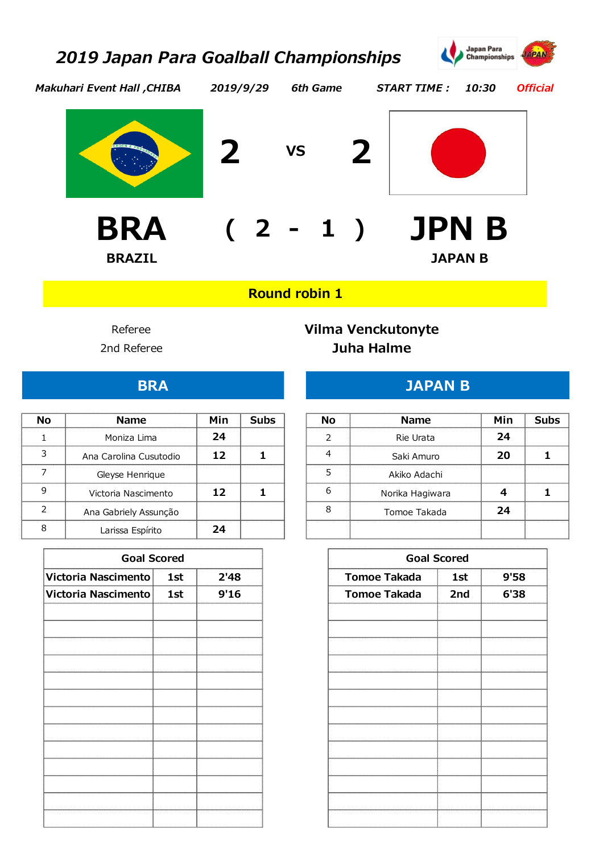

*Official*

*Makuhari Event Hall ,CHIBA*







*2019/9/29 6th Game START TIME : 10:30*



**- BRA ( 2 <sup>1</sup> ) JPN B BRAZIL JAPAN B**

**Round robin 1**

#### 2nd Referee **Juha Halme** Referee **Vilma Venckutonyte**

## **BRA JAPAN B**

| <b>Name</b>            | Min | <b>Subs</b> | No | <b>Name</b>     | Min | Suhe |
|------------------------|-----|-------------|----|-----------------|-----|------|
|                        |     |             |    |                 |     |      |
| Moniza Lima            | 74  |             |    | Rie Urata       | 74  |      |
| Ana Carolina Cusutodio |     |             |    | Saki Amuro      | 20  |      |
| Gleyse Henrique        |     |             |    | Akiko Adachi    |     |      |
| Victoria Nascimento    |     |             |    | Norika Hagiwara |     |      |
| Ana Gabriely Assunção  |     |             |    | Tomoe Takada    | 74  |      |
| Larissa Espírito       | 74  |             |    |                 |     |      |

| <b>Goal Scored</b> |     |      |                     | <b>Goal Scored</b> |      |
|--------------------|-----|------|---------------------|--------------------|------|
| nento              | 1st | 2'48 | <b>Tomoe Takada</b> | 1st                | 9'58 |
| nento              | 1st | 9'16 | <b>Tomoe Takada</b> | 2nd                | 6'38 |
|                    |     |      |                     |                    |      |
|                    |     |      |                     |                    |      |
|                    |     |      |                     |                    |      |
|                    |     |      |                     |                    |      |
|                    |     |      |                     |                    |      |
|                    |     |      |                     |                    |      |
|                    |     |      |                     |                    |      |
|                    |     |      |                     |                    |      |
|                    |     |      |                     |                    |      |
|                    |     |      |                     |                    |      |
|                    |     |      |                     |                    |      |
|                    |     |      |                     |                    |      |

| NΛ | <b>Name</b>            | Min | Subs | Nο | <b>Name</b>     |    |
|----|------------------------|-----|------|----|-----------------|----|
|    | Moniza Lima            | 74  |      |    | Rie Urata       | 24 |
|    | Ana Carolina Cusutodio |     |      |    | Saki Amuro      |    |
|    | Gleyse Henrique        |     |      |    | Akiko Adachi    |    |
|    | Victoria Nascimento    | ۰D. |      |    | Norika Hagiwara |    |
|    | Ana Gabriely Assunção  |     |      |    | Tomoe Takada    | 24 |
|    | Larissa Espírito       |     |      |    |                 |    |

| <b>Goal Scored</b>  |     |      |                     | <b>Goal Scored</b> |      |
|---------------------|-----|------|---------------------|--------------------|------|
| Victoria Nascimento | 1st | 2'48 | <b>Tomoe Takada</b> | 1st                | 9'58 |
| Victoria Nascimento | 1st | 9'16 | <b>Tomoe Takada</b> | 2nd                | 6'38 |
|                     |     |      |                     |                    |      |
|                     |     |      |                     |                    |      |
|                     |     |      |                     |                    |      |
|                     |     |      |                     |                    |      |
|                     |     |      |                     |                    |      |
|                     |     |      |                     |                    |      |
|                     |     |      |                     |                    |      |
|                     |     |      |                     |                    |      |
|                     |     |      |                     |                    |      |
|                     |     |      |                     |                    |      |
|                     |     |      |                     |                    |      |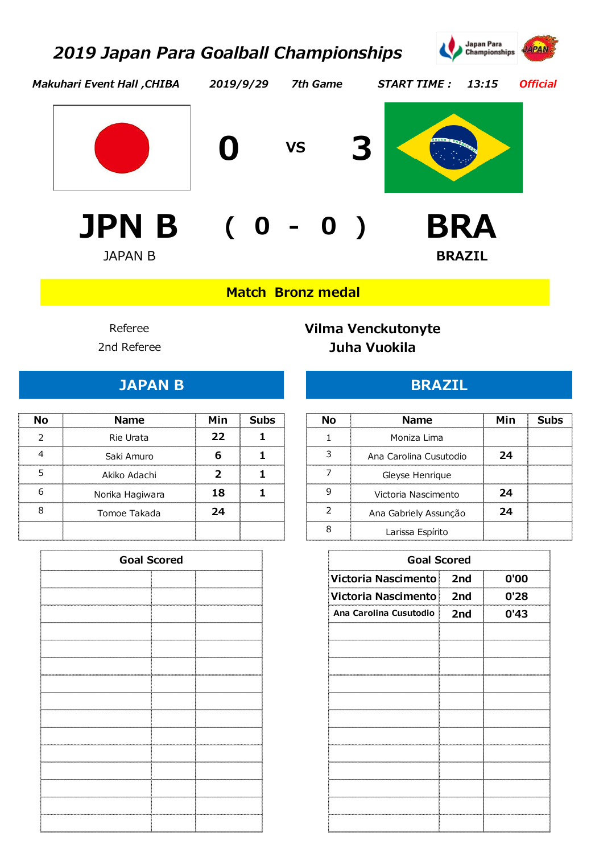

*Makuhari Event Hall ,CHIBA*

*2019/9/29 7th Game START TIME : 13:15*

*Official*



**0 VS 3**





**- JPN B ( 0 0 ) BRA** JAPAN B **BRAZIL**

**Match Bronz medal** 

## 2nd Referee **Juha Vuokila** Referee **Vilma Venckutonyte**

| N۵ | <b>Name</b>     | Min | <b>Subs</b> | Nο | <b>Name</b>            | Min | <b>Subs</b> |
|----|-----------------|-----|-------------|----|------------------------|-----|-------------|
|    | Rie Urata       | 22  |             |    | Moniza Lima            |     |             |
| 4  | Saki Amuro      |     |             |    | Ana Carolina Cusutodio | 24  |             |
|    | Akiko Adachi    |     |             |    | Gleyse Henrique        |     |             |
| 6  | Norika Hagiwara | 18  |             |    | Victoria Nascimento    | 24  |             |
| 8  | Tomoe Takada    | 24  |             |    | Ana Gabriely Assunção  | 24  |             |
|    |                 |     |             |    | Larissa Espírito       |     |             |

| <b>Goal Scored</b> | <b>Goal Scored</b>     |     |      |
|--------------------|------------------------|-----|------|
|                    | Victoria Nascimento    | 2nd | 0'00 |
|                    | Victoria Nascimento    | 2nd | 0'28 |
|                    | Ana Carolina Cusutodio | 2nd | 0'43 |
|                    |                        |     |      |
|                    |                        |     |      |
|                    |                        |     |      |
|                    |                        |     |      |
|                    |                        |     |      |
|                    |                        |     |      |
|                    |                        |     |      |
|                    |                        |     |      |
|                    |                        |     |      |
|                    |                        |     |      |
|                    |                        |     |      |

#### **JAPAN B BRAZIL**

| Nο | <b>Name</b>     | Min | <b>Subs</b> | No | <b>Name</b>            | Min |
|----|-----------------|-----|-------------|----|------------------------|-----|
|    | Rie Urata       | 22  |             |    | Moniza Lima            |     |
|    | Saki Amuro      |     |             |    | Ana Carolina Cusutodio | 24  |
|    | Akiko Adachi    |     |             |    | Gleyse Henrique        |     |
|    | Norika Hagiwara | 18  |             |    | Victoria Nascimento    | 24  |
|    | Tomoe Takada    | 74  |             |    | Ana Gabriely Assunção  | 24  |
|    |                 |     |             |    | Larissa Espírito       |     |
|    |                 |     |             |    |                        |     |

| <b>Goal Scored</b> |  |
|--------------------|--|
|                    |  |
|                    |  |
|                    |  |
|                    |  |
|                    |  |
|                    |  |
|                    |  |
|                    |  |
|                    |  |
|                    |  |
|                    |  |
|                    |  |
|                    |  |
|                    |  |
|                    |  |